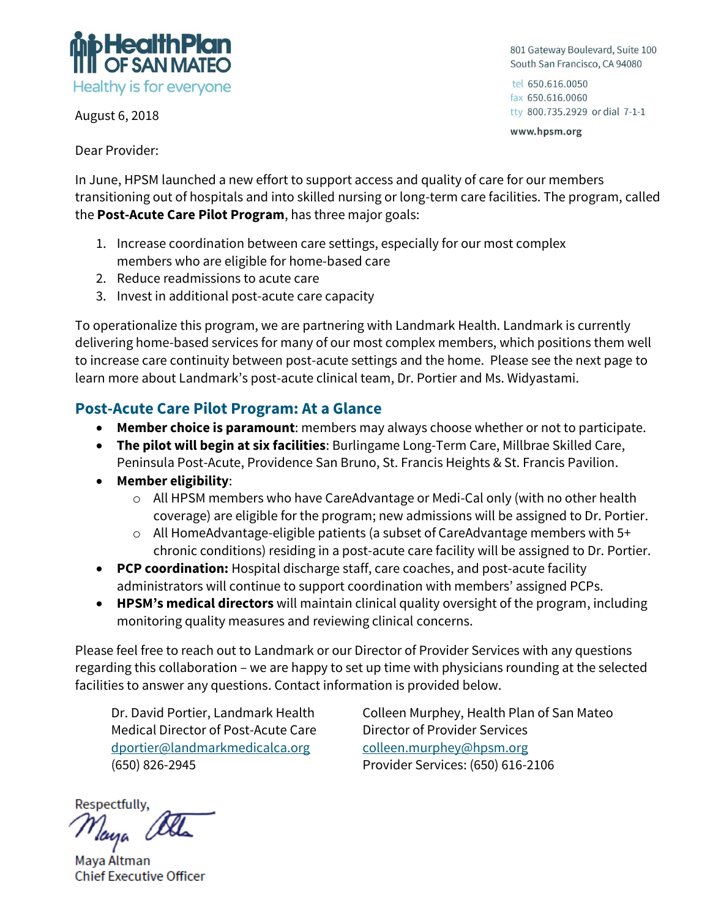

August 6, 2018

801 Gateway Boulevard, Suite 100 South San Francisco, CA 94080

tel 650.616.0050 fax 650.616.0060 tty 800.735.2929 or dial 7-1-1

www.hpsm.org

Dear Provider:

In June, HPSM launched a new effort to support access and quality of care for our members transitioning out of hospitals and into skilled nursing or long-term care facilities. The program, called the **Post-Acute Care Pilot Program**, has three major goals:

- 1. Increase coordination between care settings, especially for our most complex members who are eligible for home-based care
- 2. Reduce readmissions to acute care
- 3. Invest in additional post-acute care capacity

To operationalize this program, we are partnering with Landmark Health. Landmark is currently delivering home-based services for many of our most complex members, which positions them well to increase care continuity between post-acute settings and the home. Please see the next page to learn more about Landmark's post-acute clinical team, Dr. Portier and Ms. Widyastami.

## **Post-Acute Care Pilot Program: At a Glance**

- **Member choice is paramount**: members may always choose whether or not to participate.
- **The pilot will begin at six facilities**: Burlingame Long-Term Care, Millbrae Skilled Care, Peninsula Post-Acute, Providence San Bruno, St. Francis Heights & St. Francis Pavilion.
- **Member eligibility**:
	- o All HPSM members who have CareAdvantage or Medi-Cal only (with no other health coverage) are eligible for the program; new admissions will be assigned to Dr. Portier.
	- o All HomeAdvantage-eligible patients (a subset of CareAdvantage members with 5+ chronic conditions) residing in a post-acute care facility will be assigned to Dr. Portier.
- **PCP coordination:** Hospital discharge staff, care coaches, and post-acute facility administrators will continue to support coordination with members' assigned PCPs.
- **HPSM's medical directors** will maintain clinical quality oversight of the program, including monitoring quality measures and reviewing clinical concerns.

Please feel free to reach out to Landmark or our Director of Provider Services with any questions regarding this collaboration – we are happy to set up time with physicians rounding at the selected facilities to answer any questions. Contact information is provided below.

Dr. David Portier, Landmark Health Medical Director of Post-Acute Care [dportier@landmarkmedicalca.org](mailto:dportier@landmarkmedicalca.org) (650) 826-2945

Colleen Murphey, Health Plan of San Mateo Director of Provider Services [colleen.murphey@hpsm.org](mailto:colleen.murphey@hpsm.org) Provider Services: (650) 616-2106

Respectfully, Taya

Maya Altman **Chief Executive Officer**